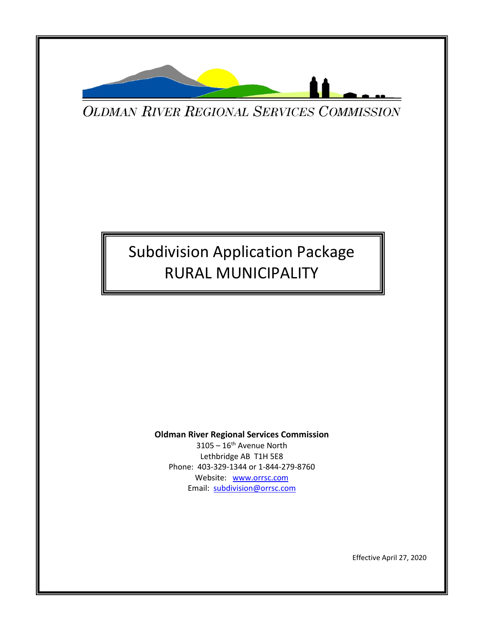

**OLDMAN RIVER REGIONAL SERVICES COMMISSION** 

# Subdivision Application Package RURAL MUNICIPALITY

#### **Oldman River Regional Services Commission**

 $3105 - 16$ <sup>th</sup> Avenue North Lethbridge AB T1H 5E8 Phone: 403-329-1344 or 1-844-279-8760 Website: [www.orrsc.com](http://www.orrsc.com/) Email: [subdivision@orrsc.com](mailto:subdivision@orrsc.com)

Effective April 27, 2020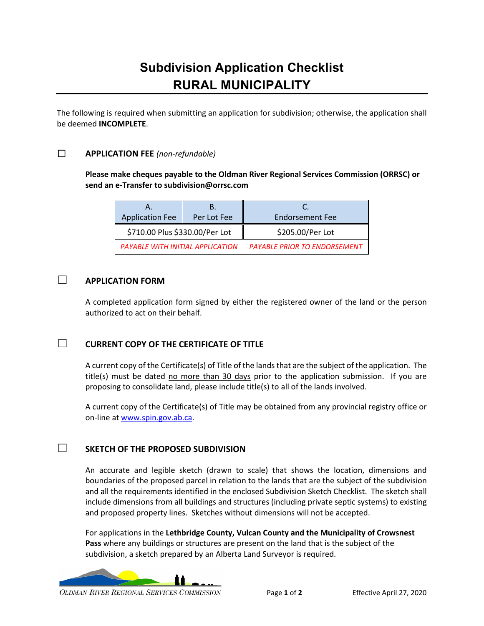## **Subdivision Application Checklist RURAL MUNICIPALITY**

The following is required when submitting an application for subdivision; otherwise, the application shall be deemed **INCOMPLETE**.

#### ☐ **APPLICATION FEE** *(non-refundable)*

**Please make cheques payable to the Oldman River Regional Services Commission (ORRSC) or send an e-Transfer to subdivision@orrsc.com**

| Α.                               |             |                                     |  |  |
|----------------------------------|-------------|-------------------------------------|--|--|
| <b>Application Fee</b>           | Per Lot Fee | <b>Endorsement Fee</b>              |  |  |
| \$710.00 Plus \$330.00/Per Lot   |             | \$205.00/Per Lot                    |  |  |
| PAYABLE WITH INITIAL APPLICATION |             | <b>PAYABLE PRIOR TO ENDORSEMENT</b> |  |  |

#### ☐ **APPLICATION FORM**

A completed application form signed by either the registered owner of the land or the person authorized to act on their behalf.

#### ☐ **CURRENT COPY OF THE CERTIFICATE OF TITLE**

A current copy of the Certificate(s) of Title of the lands that are the subject of the application. The title(s) must be dated no more than 30 days prior to the application submission. If you are proposing to consolidate land, please include title(s) to all of the lands involved.

A current copy of the Certificate(s) of Title may be obtained from any provincial registry office or on-line at [www.spin.gov.ab.ca.](http://www.spin.gov.ab.ca/)

#### ☐ **SKETCH OF THE PROPOSED SUBDIVISION**

An accurate and legible sketch (drawn to scale) that shows the location, dimensions and boundaries of the proposed parcel in relation to the lands that are the subject of the subdivision and all the requirements identified in the enclosed Subdivision Sketch Checklist. The sketch shall include dimensions from all buildings and structures (including private septic systems) to existing and proposed property lines. Sketches without dimensions will not be accepted.

For applications in the **Lethbridge County, Vulcan County and the Municipality of Crowsnest Pass** where any buildings or structures are present on the land that is the subject of the subdivision, a sketch prepared by an Alberta Land Surveyor is required.

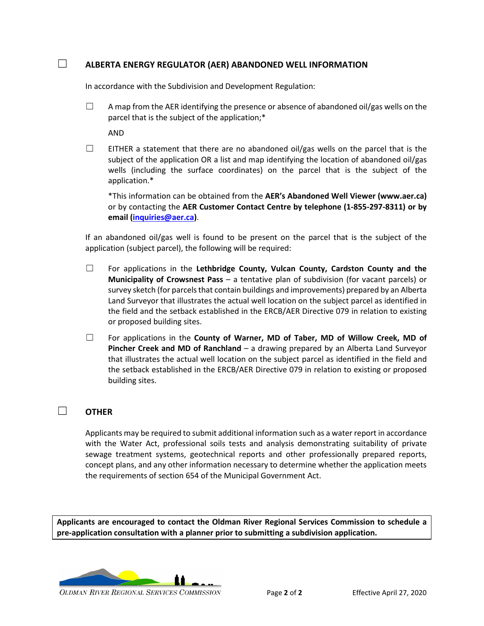#### ☐ **ALBERTA ENERGY REGULATOR (AER) ABANDONED WELL INFORMATION**

In accordance with the Subdivision and Development Regulation:

 $\Box$  A map from the AER identifying the presence or absence of abandoned oil/gas wells on the parcel that is the subject of the application;\*

AND

 $\Box$  EITHER a statement that there are no abandoned oil/gas wells on the parcel that is the subject of the application OR a list and map identifying the location of abandoned oil/gas wells (including the surface coordinates) on the parcel that is the subject of the application.\*

\*This information can be obtained from the **AER's Abandoned Well Viewer (www.aer.ca)**  or by contacting the **AER Customer Contact Centre by telephone (1-855-297-8311) or by email [\(inquiries@aer.ca\)](mailto:inquiries@aer.ca)**.

If an abandoned oil/gas well is found to be present on the parcel that is the subject of the application (subject parcel), the following will be required:

- ☐ For applications in the **Lethbridge County, Vulcan County, Cardston County and the Municipality of Crowsnest Pass** – a tentative plan of subdivision (for vacant parcels) or survey sketch (for parcels that contain buildings and improvements) prepared by an Alberta Land Surveyor that illustrates the actual well location on the subject parcel as identified in the field and the setback established in the ERCB/AER Directive 079 in relation to existing or proposed building sites.
- ☐ For applications in the **County of Warner, MD of Taber, MD of Willow Creek, MD of Pincher Creek and MD of Ranchland** – a drawing prepared by an Alberta Land Surveyor that illustrates the actual well location on the subject parcel as identified in the field and the setback established in the ERCB/AER Directive 079 in relation to existing or proposed building sites.

#### ☐ **OTHER**

Applicants may be required to submit additional information such as a water report in accordance with the Water Act, professional soils tests and analysis demonstrating suitability of private sewage treatment systems, geotechnical reports and other professionally prepared reports, concept plans, and any other information necessary to determine whether the application meets the requirements of section 654 of the Municipal Government Act.

**Applicants are encouraged to contact the Oldman River Regional Services Commission to schedule a pre-application consultation with a planner prior to submitting a subdivision application.** 

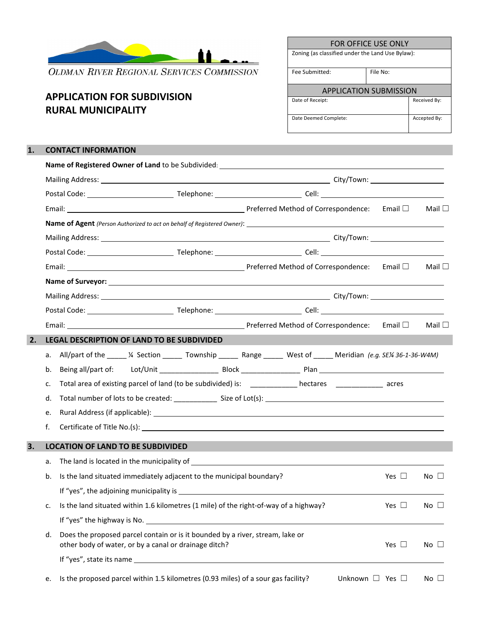

**OLDMAN RIVER REGIONAL SERVICES COMMISSION** 

### **APPLICATION FOR SUBDIVISION RURAL MUNICIPALITY**

| FOR OFFICE USE ONLY                              |          |              |  |  |
|--------------------------------------------------|----------|--------------|--|--|
| Zoning (as classified under the Land Use Bylaw): |          |              |  |  |
| Fee Submitted:                                   | File No: |              |  |  |
| APPLICATION SUBMISSION                           |          |              |  |  |
| Date of Receipt:                                 |          | Received By: |  |  |
|                                                  |          |              |  |  |

#### **1. CONTACT INFORMATION**

|    |                                                                                                                                        |  |  |                           |               | Mail $\square$ |  |  |
|----|----------------------------------------------------------------------------------------------------------------------------------------|--|--|---------------------------|---------------|----------------|--|--|
|    |                                                                                                                                        |  |  |                           |               |                |  |  |
|    |                                                                                                                                        |  |  |                           |               |                |  |  |
|    |                                                                                                                                        |  |  |                           |               |                |  |  |
|    |                                                                                                                                        |  |  |                           |               | Mail $\square$ |  |  |
|    | Name of Surveyor: Name of Surveyor:                                                                                                    |  |  |                           |               |                |  |  |
|    |                                                                                                                                        |  |  |                           |               |                |  |  |
|    |                                                                                                                                        |  |  |                           |               |                |  |  |
|    | Email: <u>■ Email:</u> ■ Preferred Method of Correspondence: Email ■ Preferred Method of Correspondence: Email ■                       |  |  |                           |               | Mail $\square$ |  |  |
| 2. | LEGAL DESCRIPTION OF LAND TO BE SUBDIVIDED                                                                                             |  |  |                           |               |                |  |  |
|    | a. All/part of the _____ ¼ Section ______ Township ______ Range _____ West of _____ Meridian (e.g. SE¼ 36-1-36-W4M)                    |  |  |                           |               |                |  |  |
| b. |                                                                                                                                        |  |  |                           |               |                |  |  |
| c. | Total area of existing parcel of land (to be subdivided) is: __________ hectares ____________ acres                                    |  |  |                           |               |                |  |  |
| d. |                                                                                                                                        |  |  |                           |               |                |  |  |
| e. |                                                                                                                                        |  |  |                           |               |                |  |  |
| f. |                                                                                                                                        |  |  |                           |               |                |  |  |
| 3. | <b>LOCATION OF LAND TO BE SUBDIVIDED</b>                                                                                               |  |  |                           |               |                |  |  |
|    |                                                                                                                                        |  |  |                           |               |                |  |  |
| b. | Is the land situated immediately adjacent to the municipal boundary?                                                                   |  |  |                           | Yes $\Box$    | $No \ \Box$    |  |  |
|    |                                                                                                                                        |  |  |                           |               |                |  |  |
| c. | Is the land situated within 1.6 kilometres (1 mile) of the right-of-way of a highway?                                                  |  |  |                           | Yes $\Box$    | $No \ \Box$    |  |  |
|    | If "yes" the highway is No.                                                                                                            |  |  |                           |               |                |  |  |
| d. | Does the proposed parcel contain or is it bounded by a river, stream, lake or<br>other body of water, or by a canal or drainage ditch? |  |  |                           | Yes $\square$ | $No \Box$      |  |  |
|    |                                                                                                                                        |  |  |                           |               |                |  |  |
| e. | Is the proposed parcel within 1.5 kilometres (0.93 miles) of a sour gas facility?                                                      |  |  | Unknown $\Box$ Yes $\Box$ |               | $No \ \Box$    |  |  |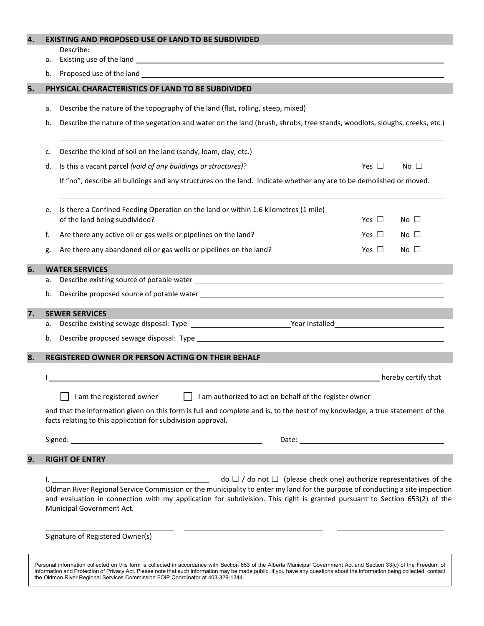| 4. |    | <b>EXISTING AND PROPOSED USE OF LAND TO BE SUBDIVIDED</b>                                                                                                                                                                                                                                                                                                                                                        |               |              |  |  |  |
|----|----|------------------------------------------------------------------------------------------------------------------------------------------------------------------------------------------------------------------------------------------------------------------------------------------------------------------------------------------------------------------------------------------------------------------|---------------|--------------|--|--|--|
|    | а. | Describe:                                                                                                                                                                                                                                                                                                                                                                                                        |               |              |  |  |  |
|    | b. |                                                                                                                                                                                                                                                                                                                                                                                                                  |               |              |  |  |  |
| 5. |    | PHYSICAL CHARACTERISTICS OF LAND TO BE SUBDIVIDED                                                                                                                                                                                                                                                                                                                                                                |               |              |  |  |  |
|    | а. |                                                                                                                                                                                                                                                                                                                                                                                                                  |               |              |  |  |  |
|    | b. | Describe the nature of the topography of the land (flat, rolling, steep, mixed) ______________________________<br>Describe the nature of the vegetation and water on the land (brush, shrubs, tree stands, woodlots, sloughs, creeks, etc.)                                                                                                                                                                      |               |              |  |  |  |
|    |    |                                                                                                                                                                                                                                                                                                                                                                                                                  |               |              |  |  |  |
|    | c. | Describe the kind of soil on the land (sandy, loam, clay, etc.) [14] Describe the kind of soil on the land (sandy, loam, clay, etc.) [2009]                                                                                                                                                                                                                                                                      |               |              |  |  |  |
|    | d. | Is this a vacant parcel (void of any buildings or structures)?                                                                                                                                                                                                                                                                                                                                                   | Yes $\Box$    | No $\square$ |  |  |  |
|    |    | If "no", describe all buildings and any structures on the land. Indicate whether any are to be demolished or moved.                                                                                                                                                                                                                                                                                              |               |              |  |  |  |
|    | e. | Is there a Confined Feeding Operation on the land or within 1.6 kilometres (1 mile)<br>of the land being subdivided?                                                                                                                                                                                                                                                                                             | Yes $\Box$    | $No \Box$    |  |  |  |
|    | f. | Are there any active oil or gas wells or pipelines on the land?                                                                                                                                                                                                                                                                                                                                                  | Yes $\Box$    | No $\square$ |  |  |  |
|    | g. | Are there any abandoned oil or gas wells or pipelines on the land?                                                                                                                                                                                                                                                                                                                                               | Yes $\square$ | $No \Box$    |  |  |  |
| 6. |    | <b>WATER SERVICES</b>                                                                                                                                                                                                                                                                                                                                                                                            |               |              |  |  |  |
|    | а. |                                                                                                                                                                                                                                                                                                                                                                                                                  |               |              |  |  |  |
|    | b. |                                                                                                                                                                                                                                                                                                                                                                                                                  |               |              |  |  |  |
| 7. | а. | <b>SEWER SERVICES</b>                                                                                                                                                                                                                                                                                                                                                                                            |               |              |  |  |  |
|    | b. |                                                                                                                                                                                                                                                                                                                                                                                                                  |               |              |  |  |  |
| 8. |    | REGISTERED OWNER OR PERSON ACTING ON THEIR BEHALF                                                                                                                                                                                                                                                                                                                                                                |               |              |  |  |  |
|    |    | hereby certify that                                                                                                                                                                                                                                                                                                                                                                                              |               |              |  |  |  |
|    |    | I am the registered owner<br>I am authorized to act on behalf of the register owner                                                                                                                                                                                                                                                                                                                              |               |              |  |  |  |
|    |    | and that the information given on this form is full and complete and is, to the best of my knowledge, a true statement of the<br>facts relating to this application for subdivision approval.                                                                                                                                                                                                                    |               |              |  |  |  |
|    |    |                                                                                                                                                                                                                                                                                                                                                                                                                  |               |              |  |  |  |
| 9. |    | <b>RIGHT OF ENTRY</b>                                                                                                                                                                                                                                                                                                                                                                                            |               |              |  |  |  |
|    |    | $\frac{1}{2}$ , $\frac{1}{2}$ and $\frac{1}{2}$ and $\frac{1}{2}$ do $\frac{1}{2}$ do not $\frac{1}{2}$ (please check one) authorize representatives of the Oldman River Regional Service Commission or the municipality to enter my land for the purp<br>and evaluation in connection with my application for subdivision. This right is granted pursuant to Section 653(2) of the<br>Municipal Government Act. |               |              |  |  |  |
|    |    | Signature of Registered Owner(s)                                                                                                                                                                                                                                                                                                                                                                                 |               |              |  |  |  |

Personal information collected on this form is collected in accordance with Section 653 of the Alberta Municipal Government Act and Section 33(c) of the Freedom of Information and Protection of Privacy Act. Please note that such information may be made public. If you have any questions about the information being collected, contact the Oldman River Regional Services Commission FOIP Coordinator at 403-329-1344.